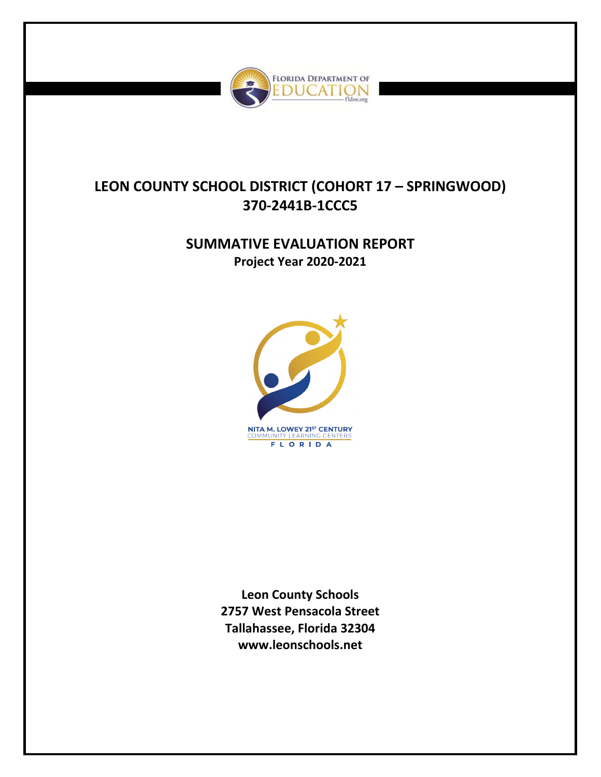

# **LEON COUNTY SCHOOL DISTRICT (COHORT 17 – SPRINGWOOD) 370-2441B-1CCC5**

# **SUMMATIVE EVALUATION REPORT Project Year 2020-2021**



**Leon County Schools 2757 West Pensacola Street Tallahassee, Florida 32304 www.leonschools.net**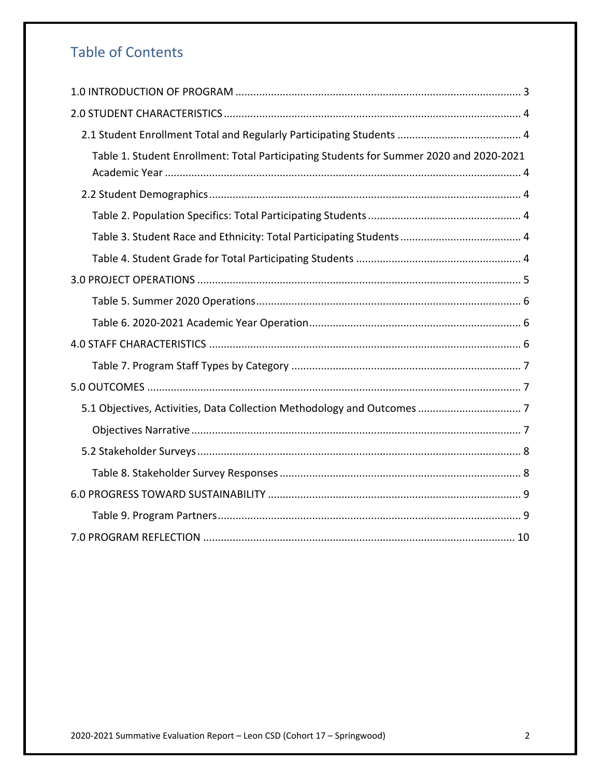# Table of Contents

<span id="page-1-0"></span>

| Table 1. Student Enrollment: Total Participating Students for Summer 2020 and 2020-2021 |
|-----------------------------------------------------------------------------------------|
|                                                                                         |
|                                                                                         |
|                                                                                         |
|                                                                                         |
|                                                                                         |
|                                                                                         |
|                                                                                         |
|                                                                                         |
|                                                                                         |
|                                                                                         |
|                                                                                         |
|                                                                                         |
|                                                                                         |
|                                                                                         |
|                                                                                         |
|                                                                                         |
|                                                                                         |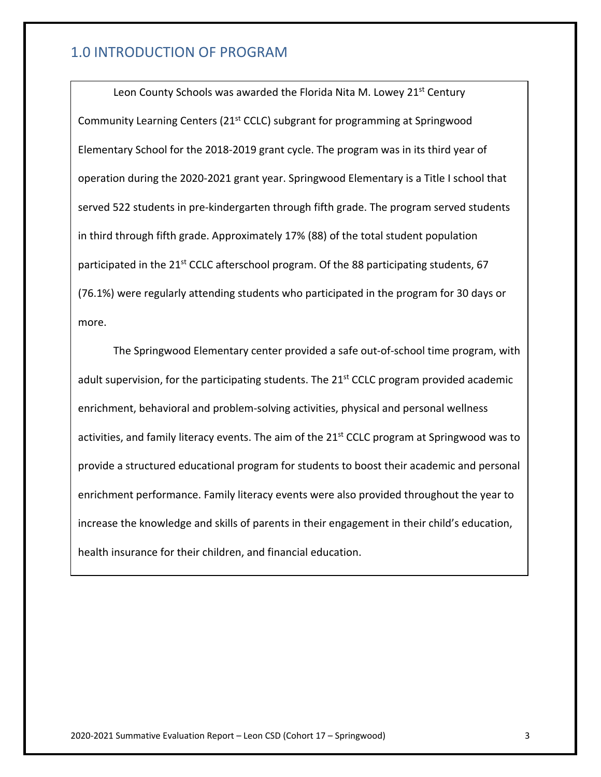## 1.0 INTRODUCTION OF PROGRAM

Leon County Schools was awarded the Florida Nita M. Lowey 21<sup>st</sup> Century Community Learning Centers (21st CCLC) subgrant for programming at Springwood Elementary School for the 2018-2019 grant cycle. The program was in its third year of operation during the 2020-2021 grant year. Springwood Elementary is a Title I school that served 522 students in pre-kindergarten through fifth grade. The program served students in third through fifth grade. Approximately 17% (88) of the total student population participated in the 21<sup>st</sup> CCLC afterschool program. Of the 88 participating students, 67 (76.1%) were regularly attending students who participated in the program for 30 days or more.

The Springwood Elementary center provided a safe out-of-school time program, with adult supervision, for the participating students. The 21<sup>st</sup> CCLC program provided academic enrichment, behavioral and problem-solving activities, physical and personal wellness activities, and family literacy events. The aim of the 21<sup>st</sup> CCLC program at Springwood was to provide a structured educational program for students to boost their academic and personal enrichment performance. Family literacy events were also provided throughout the year to increase the knowledge and skills of parents in their engagement in their child's education, health insurance for their children, and financial education.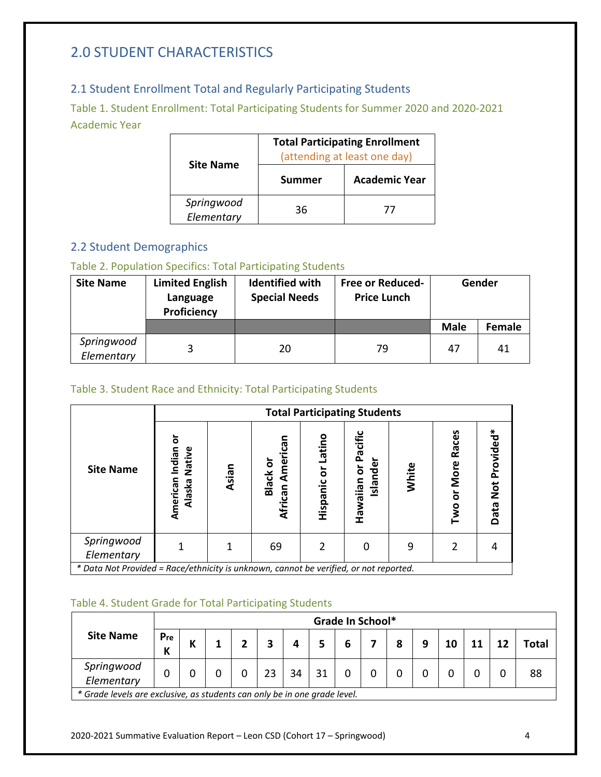# <span id="page-3-0"></span>2.0 STUDENT CHARACTERISTICS

## <span id="page-3-1"></span>2.1 Student Enrollment Total and Regularly Participating Students

<span id="page-3-2"></span>Table 1. Student Enrollment: Total Participating Students for Summer 2020 and 2020-2021 Academic Year

|                          | <b>Total Participating Enrollment</b><br>(attending at least one day) |                      |  |  |  |
|--------------------------|-----------------------------------------------------------------------|----------------------|--|--|--|
| <b>Site Name</b>         | <b>Summer</b>                                                         | <b>Academic Year</b> |  |  |  |
| Springwood<br>Elementary | 36                                                                    | 77                   |  |  |  |

## <span id="page-3-3"></span>2.2 Student Demographics

## <span id="page-3-4"></span>Table 2. Population Specifics: Total Participating Students

| <b>Site Name</b>         | <b>Limited English</b><br>Language<br>Proficiency | <b>Identified with</b><br><b>Special Needs</b> | <b>Free or Reduced-</b><br><b>Price Lunch</b> | Gender      |               |  |
|--------------------------|---------------------------------------------------|------------------------------------------------|-----------------------------------------------|-------------|---------------|--|
|                          |                                                   |                                                |                                               | <b>Male</b> | <b>Female</b> |  |
| Springwood<br>Elementary |                                                   | 20                                             | 79                                            | 47          | 41            |  |

## <span id="page-3-5"></span>Table 3. Student Race and Ethnicity: Total Participating Students

|                                                                                       |                                             | <b>Total Participating Students</b> |                                            |                       |                                     |       |                                        |                   |
|---------------------------------------------------------------------------------------|---------------------------------------------|-------------------------------------|--------------------------------------------|-----------------------|-------------------------------------|-------|----------------------------------------|-------------------|
| <b>Site Name</b>                                                                      | ក<br>Native<br>Indian<br>American<br>Alaska | Asian                               | Can<br>Ameri<br><b>Black or</b><br>African | Latino<br>Hispanic or | Pacific<br>slander<br>ŏ<br>Hawaiian | White | Races<br>More<br>$\overline{5}$<br>Two | Data Not Provided |
| Springwood<br>Elementary                                                              |                                             |                                     | 69                                         | 2                     | 0                                   |       |                                        |                   |
| * Data Not Provided = Race/ethnicity is unknown, cannot be verified, or not reported. |                                             |                                     |                                            |                       |                                     |       |                                        |                   |

### <span id="page-3-6"></span>Table 4. Student Grade for Total Participating Students

|                                                                           |          |   |  |  |   |    |    |   | Grade In School* |   |   |    |    |              |
|---------------------------------------------------------------------------|----------|---|--|--|---|----|----|---|------------------|---|---|----|----|--------------|
| <b>Site Name</b>                                                          | Pre<br>К | К |  |  | э |    |    | 6 |                  | 8 | 9 | 10 | 12 | <b>Total</b> |
| Springwood<br>Elementary                                                  |          |   |  |  |   | 34 | 31 |   |                  |   |   |    |    | 88           |
| * Grade levels are exclusive, as students can only be in one grade level. |          |   |  |  |   |    |    |   |                  |   |   |    |    |              |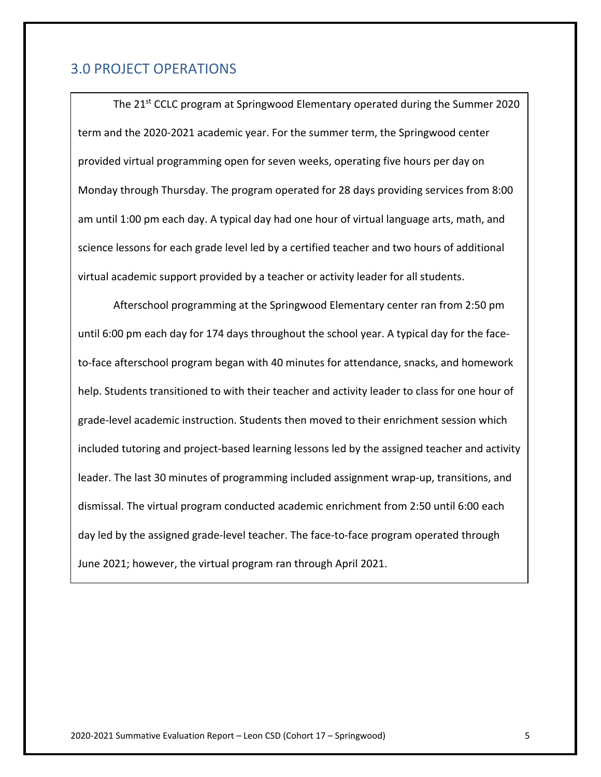## <span id="page-4-0"></span>3.0 PROJECT OPERATIONS

The 21<sup>st</sup> CCLC program at Springwood Elementary operated during the Summer 2020 term and the 2020-2021 academic year. For the summer term, the Springwood center provided virtual programming open for seven weeks, operating five hours per day on Monday through Thursday. The program operated for 28 days providing services from 8:00 am until 1:00 pm each day. A typical day had one hour of virtual language arts, math, and science lessons for each grade level led by a certified teacher and two hours of additional virtual academic support provided by a teacher or activity leader for all students.

<span id="page-4-1"></span>Afterschool programming at the Springwood Elementary center ran from 2:50 pm until 6:00 pm each day for 174 days throughout the school year. A typical day for the faceto-face afterschool program began with 40 minutes for attendance, snacks, and homework help. Students transitioned to with their teacher and activity leader to class for one hour of grade-level academic instruction. Students then moved to their enrichment session which included tutoring and project-based learning lessons led by the assigned teacher and activity leader. The last 30 minutes of programming included assignment wrap-up, transitions, and dismissal. The virtual program conducted academic enrichment from 2:50 until 6:00 each day led by the assigned grade-level teacher. The face-to-face program operated through June 2021; however, the virtual program ran through April 2021.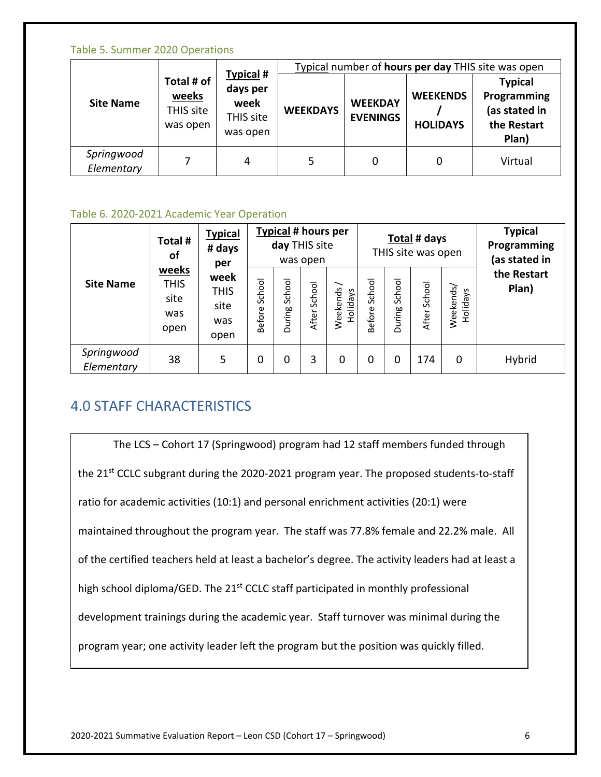#### Table 5. Summer 2020 Operations

|                          |                                              |                                                        | Typical number of hours per day THIS site was open |                                   |                                    |                                                                        |  |  |  |
|--------------------------|----------------------------------------------|--------------------------------------------------------|----------------------------------------------------|-----------------------------------|------------------------------------|------------------------------------------------------------------------|--|--|--|
| <b>Site Name</b>         | Total # of<br>weeks<br>THIS site<br>was open | Typical #<br>days per<br>week<br>THIS site<br>was open | <b>WEEKDAYS</b>                                    | <b>WEEKDAY</b><br><b>EVENINGS</b> | <b>WEEKENDS</b><br><b>HOLIDAYS</b> | <b>Typical</b><br>Programming<br>(as stated in<br>the Restart<br>Plan) |  |  |  |
| Springwood<br>Elementary |                                              | 4                                                      | 5                                                  | 0                                 | 0                                  | Virtual                                                                |  |  |  |

#### <span id="page-5-0"></span>Table 6. 2020-2021 Academic Year Operation

|                          | Total #<br>of                                                                             | <b>Typical</b><br># days<br>per |                         | <b>Typical # hours per</b><br>day THIS site | was open        |                      |                  |                  | Total # days<br>THIS site was open |                       | <b>Typical</b><br>Programming<br>(as stated in |
|--------------------------|-------------------------------------------------------------------------------------------|---------------------------------|-------------------------|---------------------------------------------|-----------------|----------------------|------------------|------------------|------------------------------------|-----------------------|------------------------------------------------|
| <b>Site Name</b>         | weeks<br>week<br><b>THIS</b><br><b>THIS</b><br>site<br>site<br>was<br>was<br>open<br>open |                                 | School<br><b>Before</b> | School<br>During                            | School<br>After | Weekends<br>Holidays | School<br>Before | School<br>During | School<br>After                    | Weekends/<br>Holidays | the Restart<br>Plan)                           |
| Springwood<br>Elementary | 38                                                                                        | 5.                              | 0                       | 0                                           | 3               | 0                    | 0                | 0                | 174                                | 0                     | Hybrid                                         |

# <span id="page-5-1"></span>4.0 STAFF CHARACTERISTICS

The LCS – Cohort 17 (Springwood) program had 12 staff members funded through the 21<sup>st</sup> CCLC subgrant during the 2020-2021 program year. The proposed students-to-staff ratio for academic activities (10:1) and personal enrichment activities (20:1) were maintained throughout the program year. The staff was 77.8% female and 22.2% male. All of the certified teachers held at least a bachelor's degree. The activity leaders had at least a high school diploma/GED. The 21<sup>st</sup> CCLC staff participated in monthly professional development trainings during the academic year. Staff turnover was minimal during the program year; one activity leader left the program but the position was quickly filled.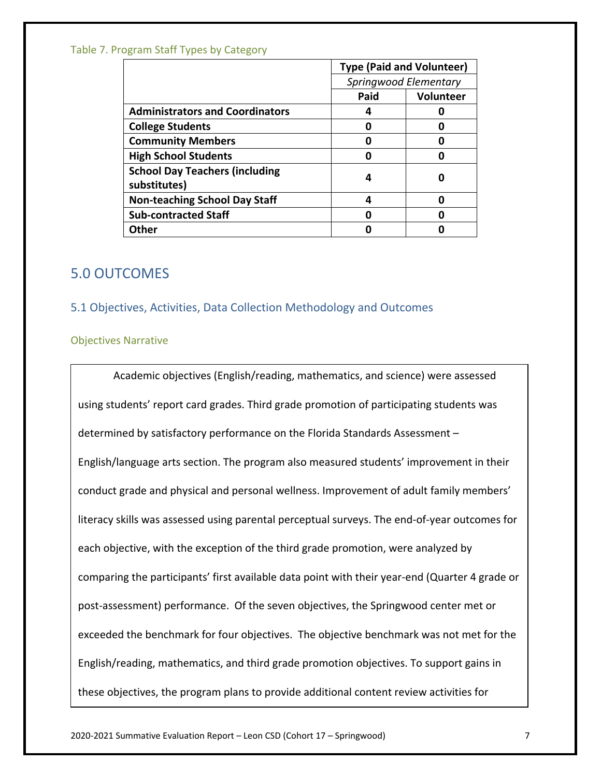#### <span id="page-6-0"></span>Table 7. Program Staff Types by Category

|                                        | <b>Type (Paid and Volunteer)</b> |           |  |
|----------------------------------------|----------------------------------|-----------|--|
|                                        | Springwood Elementary            |           |  |
|                                        | Paid                             | Volunteer |  |
| <b>Administrators and Coordinators</b> | 4                                |           |  |
| <b>College Students</b>                | Π                                |           |  |
| <b>Community Members</b>               |                                  |           |  |
| <b>High School Students</b>            |                                  |           |  |
| <b>School Day Teachers (including</b>  | 4                                |           |  |
| substitutes)                           |                                  |           |  |
| <b>Non-teaching School Day Staff</b>   | 4                                |           |  |
| <b>Sub-contracted Staff</b>            | ŋ                                |           |  |
| Other                                  |                                  |           |  |

# <span id="page-6-1"></span>5.0 OUTCOMES

### <span id="page-6-2"></span>5.1 Objectives, Activities, Data Collection Methodology and Outcomes

#### <span id="page-6-3"></span>Objectives Narrative

Academic objectives (English/reading, mathematics, and science) were assessed using students' report card grades. Third grade promotion of participating students was determined by satisfactory performance on the Florida Standards Assessment – English/language arts section. The program also measured students' improvement in their conduct grade and physical and personal wellness. Improvement of adult family members' literacy skills was assessed using parental perceptual surveys. The end-of-year outcomes for each objective, with the exception of the third grade promotion, were analyzed by comparing the participants' first available data point with their year-end (Quarter 4 grade or post-assessment) performance. Of the seven objectives, the Springwood center met or exceeded the benchmark for four objectives. The objective benchmark was not met for the English/reading, mathematics, and third grade promotion objectives. To support gains in these objectives, the program plans to provide additional content review activities for

2020-2021 Summative Evaluation Report – Leon CSD (Cohort 17 – Springwood) 7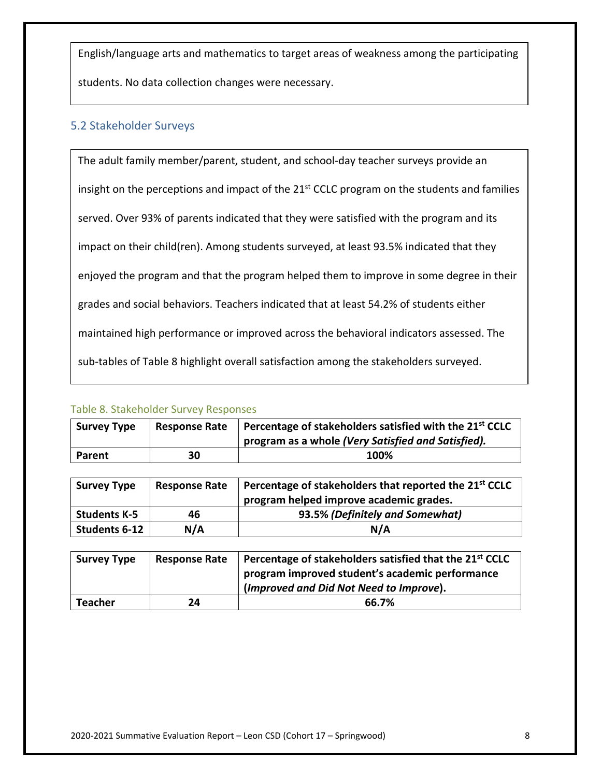English/language arts and mathematics to target areas of weakness among the participating

students. No data collection changes were necessary.

### <span id="page-7-0"></span>5.2 Stakeholder Surveys

The adult family member/parent, student, and school-day teacher surveys provide an insight on the perceptions and impact of the 21<sup>st</sup> CCLC program on the students and families served. Over 93% of parents indicated that they were satisfied with the program and its impact on their child(ren). Among students surveyed, at least 93.5% indicated that they enjoyed the program and that the program helped them to improve in some degree in their grades and social behaviors. Teachers indicated that at least 54.2% of students either maintained high performance or improved across the behavioral indicators assessed. The sub-tables of Table 8 highlight overall satisfaction among the stakeholders surveyed.

### <span id="page-7-1"></span>Table 8. Stakeholder Survey Responses

| <b>Survey Type</b> | <b>Response Rate</b> | Percentage of stakeholders satisfied with the 21 <sup>st</sup> CCLC |
|--------------------|----------------------|---------------------------------------------------------------------|
|                    |                      | program as a whole (Very Satisfied and Satisfied).                  |
| Parent             | 30                   | 100%                                                                |

| <b>Survey Type</b>   | <b>Response Rate</b> | Percentage of stakeholders that reported the 21 <sup>st</sup> CCLC |
|----------------------|----------------------|--------------------------------------------------------------------|
|                      |                      | program helped improve academic grades.                            |
| <b>Students K-5</b>  | 46                   | 93.5% (Definitely and Somewhat)                                    |
| <b>Students 6-12</b> | N/A                  | N/A                                                                |

| <b>Survey Type</b> | <b>Response Rate</b> | Percentage of stakeholders satisfied that the 21 <sup>st</sup> CCLC<br>program improved student's academic performance |
|--------------------|----------------------|------------------------------------------------------------------------------------------------------------------------|
|                    |                      | (Improved and Did Not Need to Improve).                                                                                |
| <b>Teacher</b>     | 24                   | 66.7%                                                                                                                  |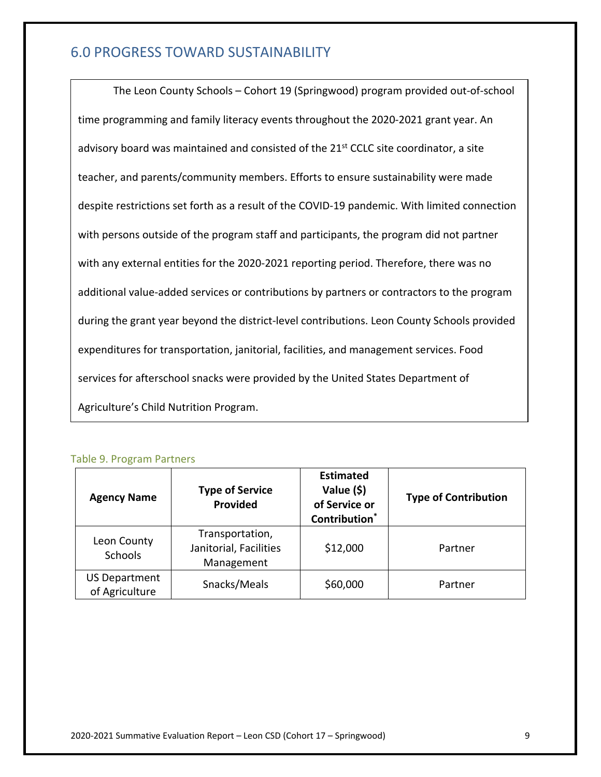# <span id="page-8-0"></span>6.0 PROGRESS TOWARD SUSTAINABILITY

The Leon County Schools – Cohort 19 (Springwood) program provided out-of-school time programming and family literacy events throughout the 2020-2021 grant year. An advisory board was maintained and consisted of the 21<sup>st</sup> CCLC site coordinator, a site teacher, and parents/community members. Efforts to ensure sustainability were made despite restrictions set forth as a result of the COVID-19 pandemic. With limited connection with persons outside of the program staff and participants, the program did not partner with any external entities for the 2020-2021 reporting period. Therefore, there was no additional value-added services or contributions by partners or contractors to the program during the grant year beyond the district-level contributions. Leon County Schools provided expenditures for transportation, janitorial, facilities, and management services. Food services for afterschool snacks were provided by the United States Department of Agriculture's Child Nutrition Program.

<span id="page-8-1"></span>

| <b>Table 9. Program Partners</b> |  |
|----------------------------------|--|
|----------------------------------|--|

| <b>Agency Name</b>                     | <b>Type of Service</b><br>Provided                      | <b>Estimated</b><br>Value (\$)<br>of Service or<br><b>Contribution</b> * | <b>Type of Contribution</b> |
|----------------------------------------|---------------------------------------------------------|--------------------------------------------------------------------------|-----------------------------|
| Leon County<br><b>Schools</b>          | Transportation,<br>Janitorial, Facilities<br>Management | \$12,000                                                                 | Partner                     |
| <b>US Department</b><br>of Agriculture | Snacks/Meals                                            | \$60,000                                                                 | Partner                     |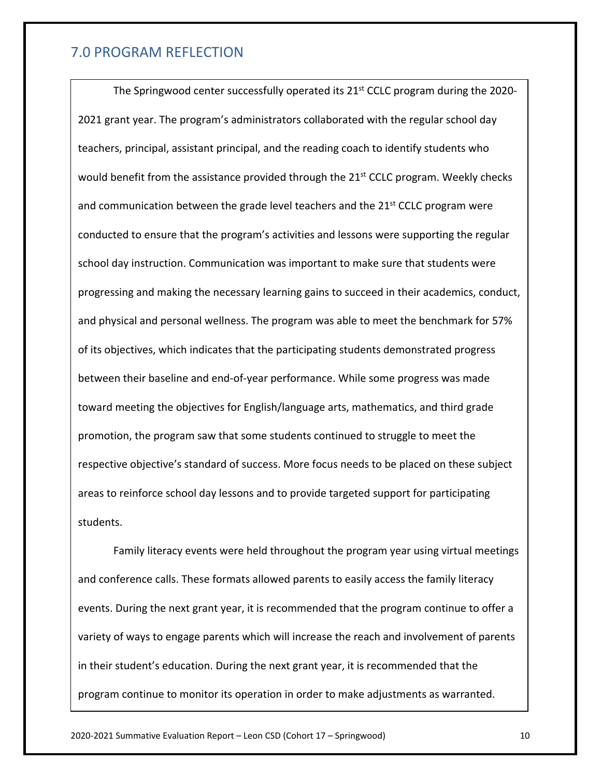## <span id="page-9-0"></span>7.0 PROGRAM REFLECTION

The Springwood center successfully operated its 21<sup>st</sup> CCLC program during the 2020-2021 grant year. The program's administrators collaborated with the regular school day teachers, principal, assistant principal, and the reading coach to identify students who would benefit from the assistance provided through the  $21<sup>st</sup>$  CCLC program. Weekly checks and communication between the grade level teachers and the  $21^{st}$  CCLC program were conducted to ensure that the program's activities and lessons were supporting the regular school day instruction. Communication was important to make sure that students were progressing and making the necessary learning gains to succeed in their academics, conduct, and physical and personal wellness. The program was able to meet the benchmark for 57% of its objectives, which indicates that the participating students demonstrated progress between their baseline and end-of-year performance. While some progress was made toward meeting the objectives for English/language arts, mathematics, and third grade promotion, the program saw that some students continued to struggle to meet the respective objective's standard of success. More focus needs to be placed on these subject areas to reinforce school day lessons and to provide targeted support for participating students.

Family literacy events were held throughout the program year using virtual meetings and conference calls. These formats allowed parents to easily access the family literacy events. During the next grant year, it is recommended that the program continue to offer a variety of ways to engage parents which will increase the reach and involvement of parents in their student's education. During the next grant year, it is recommended that the program continue to monitor its operation in order to make adjustments as warranted.